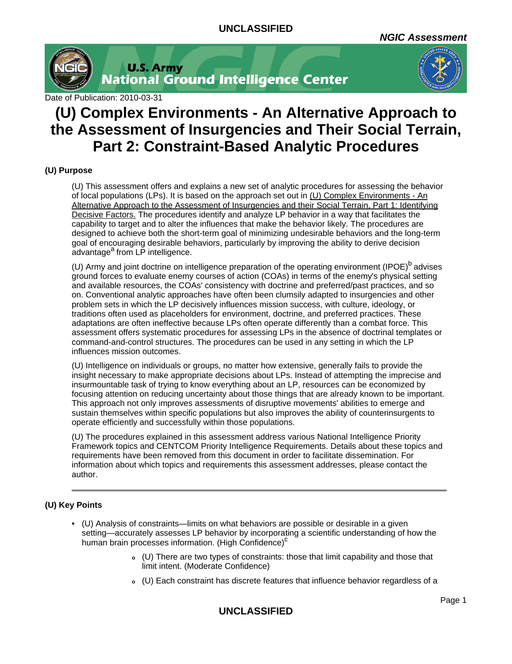

**U.S. Army<br>National Ground Intelligence Center** 



Date of Publication: 2010-03-31

# **(U) Complex Environments - An Alternative Approach to the Assessment of Insurgencies and Their Social Terrain, Part 2: Constraint-Based Analytic Procedures**

## **(U) Purpose**

(U) This assessment offers and explains a new set of analytic procedures for assessing the behavior of local populations (LPs). It is based on the approach set out in (U) Complex Environments - An Alternative Approach to the Assessment of Insurgencies and their Social Terrain, Part 1: Identifying Decisive Factors. The procedures identify and analyze LP behavior in a way that facilitates the capability to target and to alter the influences that make the behavior likely. The procedures are designed to achieve both the short-term goal of minimizing undesirable behaviors and the long-term goal of encouraging desirable behaviors, particularly by improving the ability to derive decision advantage<sup>a</sup> from LP intelligence.

(U) Army and joint doctrine on intelligence preparation of the operating environment (IPOE)<sup>b</sup> advises ground forces to evaluate enemy courses of action (COAs) in terms of the enemy's physical setting and available resources, the COAs' consistency with doctrine and preferred/past practices, and so on. Conventional analytic approaches have often been clumsily adapted to insurgencies and other problem sets in which the LP decisively influences mission success, with culture, ideology, or traditions often used as placeholders for environment, doctrine, and preferred practices. These adaptations are often ineffective because LPs often operate differently than a combat force. This assessment offers systematic procedures for assessing LPs in the absence of doctrinal templates or command-and-control structures. The procedures can be used in any setting in which the LP influences mission outcomes.

(U) Intelligence on individuals or groups, no matter how extensive, generally fails to provide the insight necessary to make appropriate decisions about LPs. Instead of attempting the imprecise and insurmountable task of trying to know everything about an LP, resources can be economized by focusing attention on reducing uncertainty about those things that are already known to be important. This approach not only improves assessments of disruptive movements' abilities to emerge and sustain themselves within specific populations but also improves the ability of counterinsurgents to operate efficiently and successfully within those populations.

(U) The procedures explained in this assessment address various National Intelligence Priority Framework topics and CENTCOM Priority Intelligence Requirements. Details about these topics and requirements have been removed from this document in order to facilitate dissemination. For information about which topics and requirements this assessment addresses, please contact the author.

## **(U) Key Points**

- (U) Analysis of constraints—limits on what behaviors are possible or desirable in a given setting—accurately assesses LP behavior by incorporating a scientific understanding of how the human brain processes information. (High Confidence)<sup>c</sup>
	- **<sup>o</sup>** (U) There are two types of constraints: those that limit capability and those that limit intent. (Moderate Confidence)
	- **<sup>o</sup>** (U) Each constraint has discrete features that influence behavior regardless of a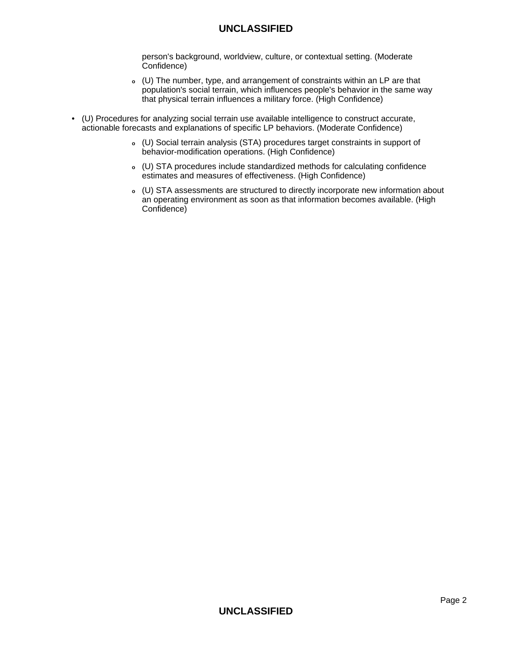person's background, worldview, culture, or contextual setting. (Moderate Confidence)

- **<sup>o</sup>** (U) The number, type, and arrangement of constraints within an LP are that population's social terrain, which influences people's behavior in the same way that physical terrain influences a military force. (High Confidence)
- (U) Procedures for analyzing social terrain use available intelligence to construct accurate, actionable forecasts and explanations of specific LP behaviors. (Moderate Confidence)
	- **<sup>o</sup>** (U) Social terrain analysis (STA) procedures target constraints in support of behavior-modification operations. (High Confidence)
	- **<sup>o</sup>** (U) STA procedures include standardized methods for calculating confidence estimates and measures of effectiveness. (High Confidence)
	- **<sup>o</sup>** (U) STA assessments are structured to directly incorporate new information about an operating environment as soon as that information becomes available. (High Confidence)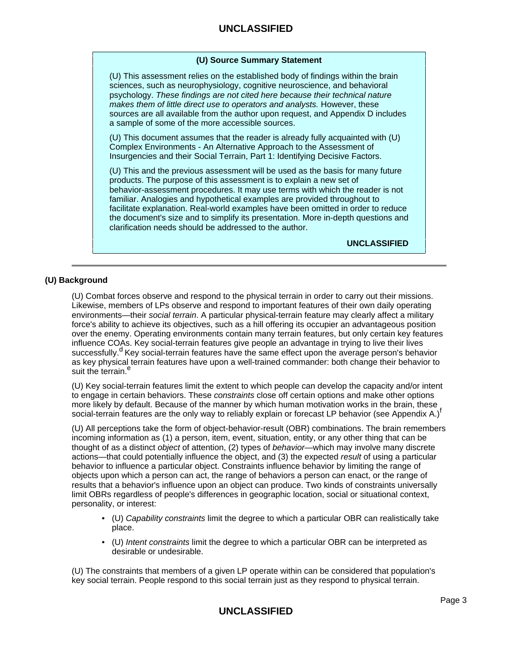## **(U) Source Summary Statement**

(U) This assessment relies on the established body of findings within the brain sciences, such as neurophysiology, cognitive neuroscience, and behavioral psychology. These findings are not cited here because their technical nature makes them of little direct use to operators and analysts. However, these sources are all available from the author upon request, and Appendix D includes a sample of some of the more accessible sources.

(U) This document assumes that the reader is already fully acquainted with (U) Complex Environments - An Alternative Approach to the Assessment of Insurgencies and their Social Terrain, Part 1: Identifying Decisive Factors.

(U) This and the previous assessment will be used as the basis for many future products. The purpose of this assessment is to explain a new set of behavior-assessment procedures. It may use terms with which the reader is not familiar. Analogies and hypothetical examples are provided throughout to facilitate explanation. Real-world examples have been omitted in order to reduce the document's size and to simplify its presentation. More in-depth questions and clarification needs should be addressed to the author.

**UNCLASSIFIED**

## **(U) Background**

(U) Combat forces observe and respond to the physical terrain in order to carry out their missions. Likewise, members of LPs observe and respond to important features of their own daily operating environments—their social terrain. A particular physical-terrain feature may clearly affect a military force's ability to achieve its objectives, such as a hill offering its occupier an advantageous position over the enemy. Operating environments contain many terrain features, but only certain key features influence COAs. Key social-terrain features give people an advantage in trying to live their lives successfully.<sup>d</sup> Key social-terrain features have the same effect upon the average person's behavior as key physical terrain features have upon a well-trained commander: both change their behavior to suit the terrain.<sup>e</sup>

(U) Key social-terrain features limit the extent to which people can develop the capacity and/or intent to engage in certain behaviors. These constraints close off certain options and make other options more likely by default. Because of the manner by which human motivation works in the brain, these social-terrain features are the only way to reliably explain or forecast LP behavior (see Appendix A.)<sup>f</sup>

(U) All perceptions take the form of object-behavior-result (OBR) combinations. The brain remembers incoming information as (1) a person, item, event, situation, entity, or any other thing that can be thought of as a distinct *object* of attention, (2) types of *behavior*—which may involve many discrete actions—that could potentially influence the object, and (3) the expected result of using a particular behavior to influence a particular object. Constraints influence behavior by limiting the range of objects upon which a person can act, the range of behaviors a person can enact, or the range of results that a behavior's influence upon an object can produce. Two kinds of constraints universally limit OBRs regardless of people's differences in geographic location, social or situational context, personality, or interest:

- (U) Capability constraints limit the degree to which a particular OBR can realistically take place.
- (U) Intent constraints limit the degree to which a particular OBR can be interpreted as desirable or undesirable.

(U) The constraints that members of a given LP operate within can be considered that population's key social terrain. People respond to this social terrain just as they respond to physical terrain.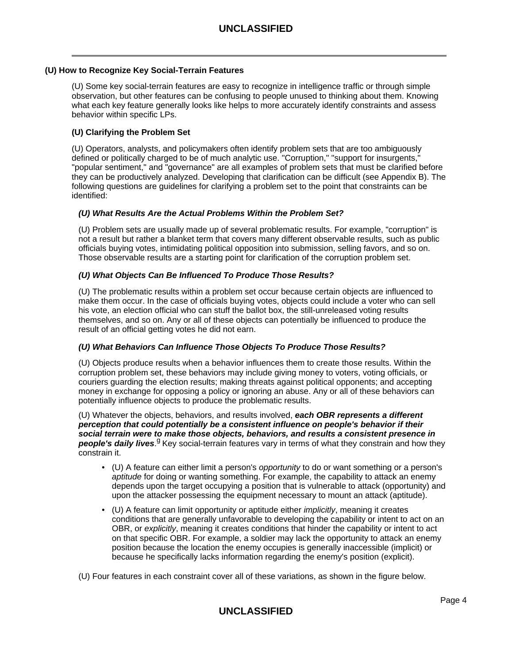## **(U) How to Recognize Key Social-Terrain Features**

(U) Some key social-terrain features are easy to recognize in intelligence traffic or through simple observation, but other features can be confusing to people unused to thinking about them. Knowing what each key feature generally looks like helps to more accurately identify constraints and assess behavior within specific LPs.

## **(U) Clarifying the Problem Set**

(U) Operators, analysts, and policymakers often identify problem sets that are too ambiguously defined or politically charged to be of much analytic use. "Corruption," "support for insurgents," "popular sentiment," and "governance" are all examples of problem sets that must be clarified before they can be productively analyzed. Developing that clarification can be difficult (see Appendix B). The following questions are guidelines for clarifying a problem set to the point that constraints can be identified:

## **(U) What Results Are the Actual Problems Within the Problem Set?**

(U) Problem sets are usually made up of several problematic results. For example, "corruption" is not a result but rather a blanket term that covers many different observable results, such as public officials buying votes, intimidating political opposition into submission, selling favors, and so on. Those observable results are a starting point for clarification of the corruption problem set.

## **(U) What Objects Can Be Influenced To Produce Those Results?**

(U) The problematic results within a problem set occur because certain objects are influenced to make them occur. In the case of officials buying votes, objects could include a voter who can sell his vote, an election official who can stuff the ballot box, the still-unreleased voting results themselves, and so on. Any or all of these objects can potentially be influenced to produce the result of an official getting votes he did not earn.

## **(U) What Behaviors Can Influence Those Objects To Produce Those Results?**

(U) Objects produce results when a behavior influences them to create those results. Within the corruption problem set, these behaviors may include giving money to voters, voting officials, or couriers guarding the election results; making threats against political opponents; and accepting money in exchange for opposing a policy or ignoring an abuse. Any or all of these behaviors can potentially influence objects to produce the problematic results.

(U) Whatever the objects, behaviors, and results involved, **each OBR represents a different perception that could potentially be a consistent influence on people's behavior if their social terrain were to make those objects, behaviors, and results a consistent presence in people's daily lives.**<sup>g</sup> Key social-terrain features vary in terms of what they constrain and how they constrain it.

- (U) A feature can either limit a person's opportunity to do or want something or a person's aptitude for doing or wanting something. For example, the capability to attack an enemy depends upon the target occupying a position that is vulnerable to attack (opportunity) and upon the attacker possessing the equipment necessary to mount an attack (aptitude).
- (U) A feature can limit opportunity or aptitude either *implicitly*, meaning it creates conditions that are generally unfavorable to developing the capability or intent to act on an OBR, or explicitly, meaning it creates conditions that hinder the capability or intent to act on that specific OBR. For example, a soldier may lack the opportunity to attack an enemy position because the location the enemy occupies is generally inaccessible (implicit) or because he specifically lacks information regarding the enemy's position (explicit).

(U) Four features in each constraint cover all of these variations, as shown in the figure below.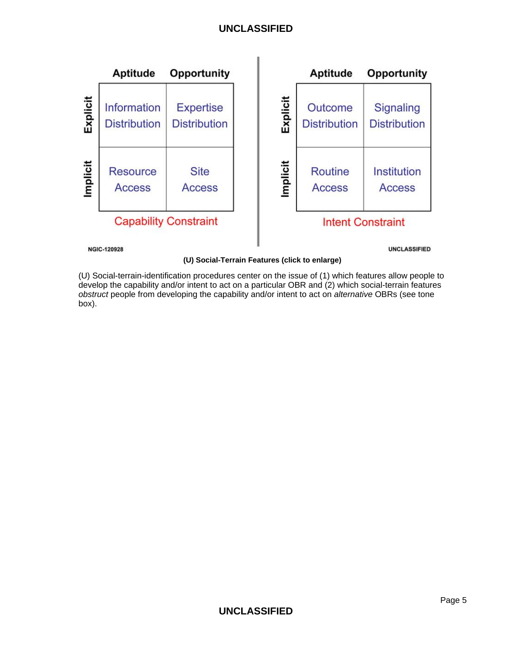

**(U) Social-Terrain Features (click to enlarge)**

(U) Social-terrain-identification procedures center on the issue of (1) which features allow people to develop the capability and/or intent to act on a particular OBR and (2) which social-terrain features obstruct people from developing the capability and/or intent to act on alternative OBRs (see tone box).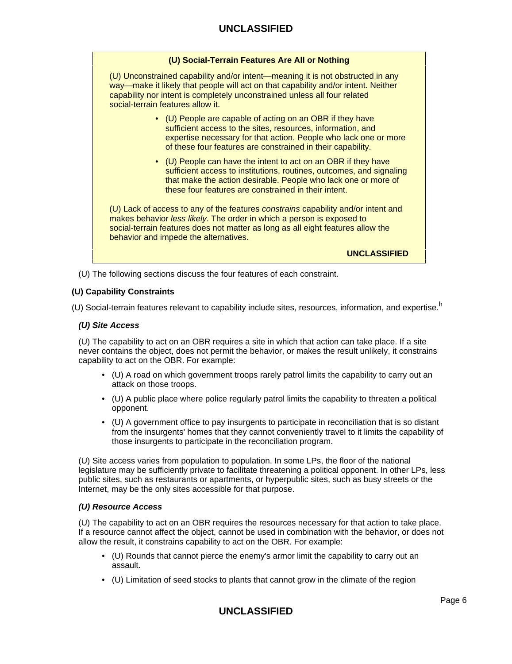(U) Unconstrained capability and/or intent—meaning it is not obstructed in any way—make it likely that people will act on that capability and/or intent. Neither capability nor intent is completely unconstrained unless all four related social-terrain features allow it.

- (U) People are capable of acting on an OBR if they have sufficient access to the sites, resources, information, and expertise necessary for that action. People who lack one or more of these four features are constrained in their capability.
- (U) People can have the intent to act on an OBR if they have sufficient access to institutions, routines, outcomes, and signaling that make the action desirable. People who lack one or more of these four features are constrained in their intent.

(U) Lack of access to any of the features constrains capability and/or intent and makes behavior less likely. The order in which a person is exposed to social-terrain features does not matter as long as all eight features allow the behavior and impede the alternatives.

**UNCLASSIFIED**

(U) The following sections discuss the four features of each constraint.

## **(U) Capability Constraints**

(U) Social-terrain features relevant to capability include sites, resources, information, and expertise.<sup>h</sup>

#### **(U) Site Access**

(U) The capability to act on an OBR requires a site in which that action can take place. If a site never contains the object, does not permit the behavior, or makes the result unlikely, it constrains capability to act on the OBR. For example:

- (U) A road on which government troops rarely patrol limits the capability to carry out an attack on those troops.
- (U) A public place where police regularly patrol limits the capability to threaten a political opponent.
- (U) A government office to pay insurgents to participate in reconciliation that is so distant from the insurgents' homes that they cannot conveniently travel to it limits the capability of those insurgents to participate in the reconciliation program.

(U) Site access varies from population to population. In some LPs, the floor of the national legislature may be sufficiently private to facilitate threatening a political opponent. In other LPs, less public sites, such as restaurants or apartments, or hyperpublic sites, such as busy streets or the Internet, may be the only sites accessible for that purpose.

#### **(U) Resource Access**

(U) The capability to act on an OBR requires the resources necessary for that action to take place. If a resource cannot affect the object, cannot be used in combination with the behavior, or does not allow the result, it constrains capability to act on the OBR. For example:

- (U) Rounds that cannot pierce the enemy's armor limit the capability to carry out an assault.
- (U) Limitation of seed stocks to plants that cannot grow in the climate of the region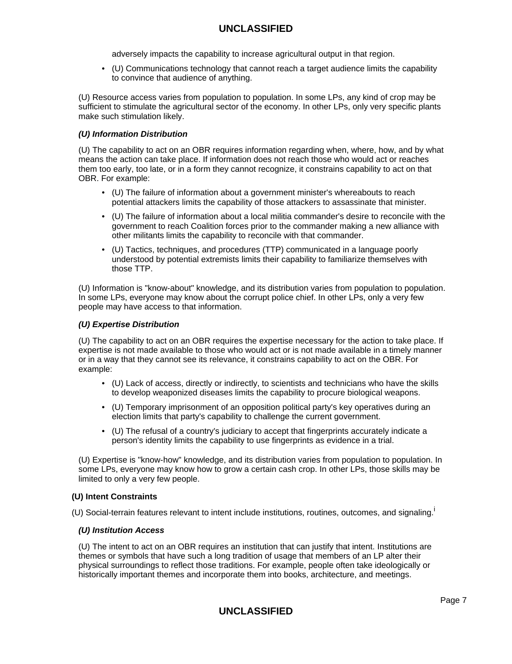adversely impacts the capability to increase agricultural output in that region.

• (U) Communications technology that cannot reach a target audience limits the capability to convince that audience of anything.

(U) Resource access varies from population to population. In some LPs, any kind of crop may be sufficient to stimulate the agricultural sector of the economy. In other LPs, only very specific plants make such stimulation likely.

## **(U) Information Distribution**

(U) The capability to act on an OBR requires information regarding when, where, how, and by what means the action can take place. If information does not reach those who would act or reaches them too early, too late, or in a form they cannot recognize, it constrains capability to act on that OBR. For example:

- (U) The failure of information about a government minister's whereabouts to reach potential attackers limits the capability of those attackers to assassinate that minister.
- (U) The failure of information about a local militia commander's desire to reconcile with the government to reach Coalition forces prior to the commander making a new alliance with other militants limits the capability to reconcile with that commander.
- (U) Tactics, techniques, and procedures (TTP) communicated in a language poorly understood by potential extremists limits their capability to familiarize themselves with those TTP.

(U) Information is "know-about" knowledge, and its distribution varies from population to population. In some LPs, everyone may know about the corrupt police chief. In other LPs, only a very few people may have access to that information.

## **(U) Expertise Distribution**

(U) The capability to act on an OBR requires the expertise necessary for the action to take place. If expertise is not made available to those who would act or is not made available in a timely manner or in a way that they cannot see its relevance, it constrains capability to act on the OBR. For example:

- (U) Lack of access, directly or indirectly, to scientists and technicians who have the skills to develop weaponized diseases limits the capability to procure biological weapons.
- (U) Temporary imprisonment of an opposition political party's key operatives during an election limits that party's capability to challenge the current government.
- (U) The refusal of a country's judiciary to accept that fingerprints accurately indicate a person's identity limits the capability to use fingerprints as evidence in a trial.

(U) Expertise is "know-how" knowledge, and its distribution varies from population to population. In some LPs, everyone may know how to grow a certain cash crop. In other LPs, those skills may be limited to only a very few people.

#### **(U) Intent Constraints**

(U) Social-terrain features relevant to intent include institutions, routines, outcomes, and signaling.<sup>i</sup>

#### **(U) Institution Access**

(U) The intent to act on an OBR requires an institution that can justify that intent. Institutions are themes or symbols that have such a long tradition of usage that members of an LP alter their physical surroundings to reflect those traditions. For example, people often take ideologically or historically important themes and incorporate them into books, architecture, and meetings.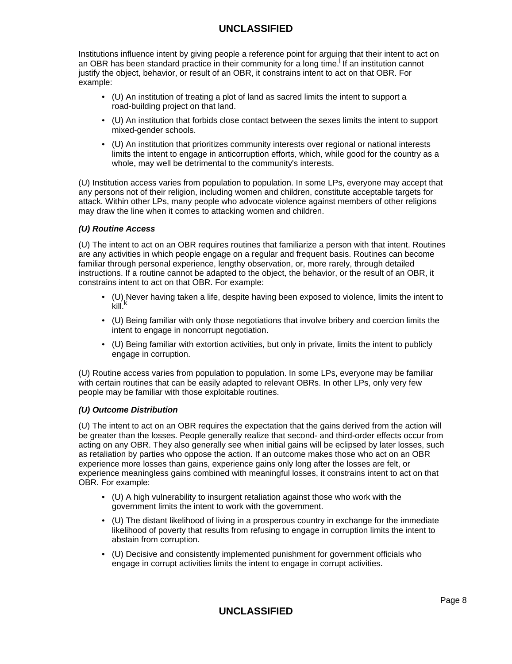Institutions influence intent by giving people a reference point for arguing that their intent to act on an OBR has been standard practice in their community for a long time.<sup>j</sup> If an institution cannot justify the object, behavior, or result of an OBR, it constrains intent to act on that OBR. For example:

- (U) An institution of treating a plot of land as sacred limits the intent to support a road-building project on that land.
- (U) An institution that forbids close contact between the sexes limits the intent to support mixed-gender schools.
- (U) An institution that prioritizes community interests over regional or national interests limits the intent to engage in anticorruption efforts, which, while good for the country as a whole, may well be detrimental to the community's interests.

(U) Institution access varies from population to population. In some LPs, everyone may accept that any persons not of their religion, including women and children, constitute acceptable targets for attack. Within other LPs, many people who advocate violence against members of other religions may draw the line when it comes to attacking women and children.

## **(U) Routine Access**

(U) The intent to act on an OBR requires routines that familiarize a person with that intent. Routines are any activities in which people engage on a regular and frequent basis. Routines can become familiar through personal experience, lengthy observation, or, more rarely, through detailed instructions. If a routine cannot be adapted to the object, the behavior, or the result of an OBR, it constrains intent to act on that OBR. For example:

- (U) Never having taken a life, despite having been exposed to violence, limits the intent to kill<sup>k</sup>
- (U) Being familiar with only those negotiations that involve bribery and coercion limits the intent to engage in noncorrupt negotiation.
- (U) Being familiar with extortion activities, but only in private, limits the intent to publicly engage in corruption.

(U) Routine access varies from population to population. In some LPs, everyone may be familiar with certain routines that can be easily adapted to relevant OBRs. In other LPs, only very few people may be familiar with those exploitable routines.

### **(U) Outcome Distribution**

(U) The intent to act on an OBR requires the expectation that the gains derived from the action will be greater than the losses. People generally realize that second- and third-order effects occur from acting on any OBR. They also generally see when initial gains will be eclipsed by later losses, such as retaliation by parties who oppose the action. If an outcome makes those who act on an OBR experience more losses than gains, experience gains only long after the losses are felt, or experience meaningless gains combined with meaningful losses, it constrains intent to act on that OBR. For example:

- (U) A high vulnerability to insurgent retaliation against those who work with the government limits the intent to work with the government.
- (U) The distant likelihood of living in a prosperous country in exchange for the immediate likelihood of poverty that results from refusing to engage in corruption limits the intent to abstain from corruption.
- (U) Decisive and consistently implemented punishment for government officials who engage in corrupt activities limits the intent to engage in corrupt activities.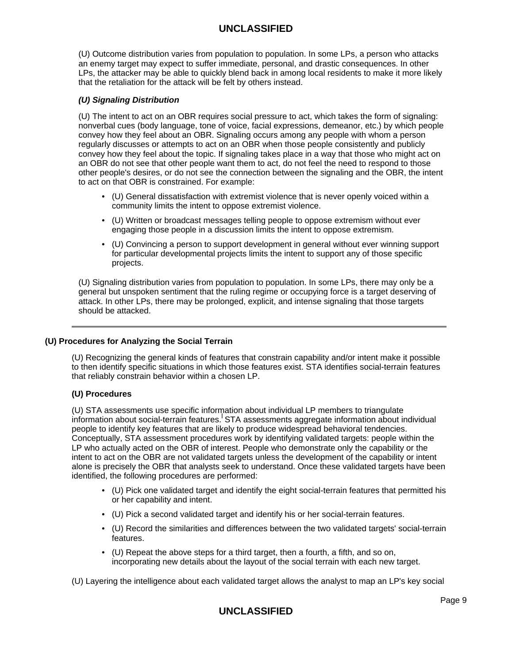(U) Outcome distribution varies from population to population. In some LPs, a person who attacks an enemy target may expect to suffer immediate, personal, and drastic consequences. In other LPs, the attacker may be able to quickly blend back in among local residents to make it more likely that the retaliation for the attack will be felt by others instead.

## **(U) Signaling Distribution**

(U) The intent to act on an OBR requires social pressure to act, which takes the form of signaling: nonverbal cues (body language, tone of voice, facial expressions, demeanor, etc.) by which people convey how they feel about an OBR. Signaling occurs among any people with whom a person regularly discusses or attempts to act on an OBR when those people consistently and publicly convey how they feel about the topic. If signaling takes place in a way that those who might act on an OBR do not see that other people want them to act, do not feel the need to respond to those other people's desires, or do not see the connection between the signaling and the OBR, the intent to act on that OBR is constrained. For example:

- (U) General dissatisfaction with extremist violence that is never openly voiced within a community limits the intent to oppose extremist violence.
- (U) Written or broadcast messages telling people to oppose extremism without ever engaging those people in a discussion limits the intent to oppose extremism.
- (U) Convincing a person to support development in general without ever winning support for particular developmental projects limits the intent to support any of those specific projects.

(U) Signaling distribution varies from population to population. In some LPs, there may only be a general but unspoken sentiment that the ruling regime or occupying force is a target deserving of attack. In other LPs, there may be prolonged, explicit, and intense signaling that those targets should be attacked.

#### **(U) Procedures for Analyzing the Social Terrain**

(U) Recognizing the general kinds of features that constrain capability and/or intent make it possible to then identify specific situations in which those features exist. STA identifies social-terrain features that reliably constrain behavior within a chosen LP.

#### **(U) Procedures**

(U) STA assessments use specific information about individual LP members to triangulate information about social-terrain features. STA assessments aggregate information about individual people to identify key features that are likely to produce widespread behavioral tendencies. Conceptually, STA assessment procedures work by identifying validated targets: people within the LP who actually acted on the OBR of interest. People who demonstrate only the capability or the intent to act on the OBR are not validated targets unless the development of the capability or intent alone is precisely the OBR that analysts seek to understand. Once these validated targets have been identified, the following procedures are performed:

- (U) Pick one validated target and identify the eight social-terrain features that permitted his or her capability and intent.
- (U) Pick a second validated target and identify his or her social-terrain features.
- (U) Record the similarities and differences between the two validated targets' social-terrain features.
- (U) Repeat the above steps for a third target, then a fourth, a fifth, and so on, incorporating new details about the layout of the social terrain with each new target.

(U) Layering the intelligence about each validated target allows the analyst to map an LP's key social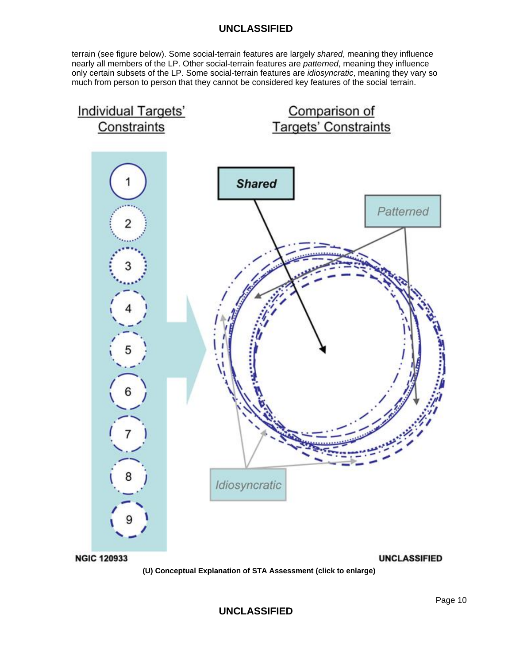terrain (see figure below). Some social-terrain features are largely shared, meaning they influence nearly all members of the LP. Other social-terrain features are patterned, meaning they influence only certain subsets of the LP. Some social-terrain features are *idiosyncratic*, meaning they vary so much from person to person that they cannot be considered key features of the social terrain.

![](_page_9_Figure_2.jpeg)

**UNCLASSIFIED**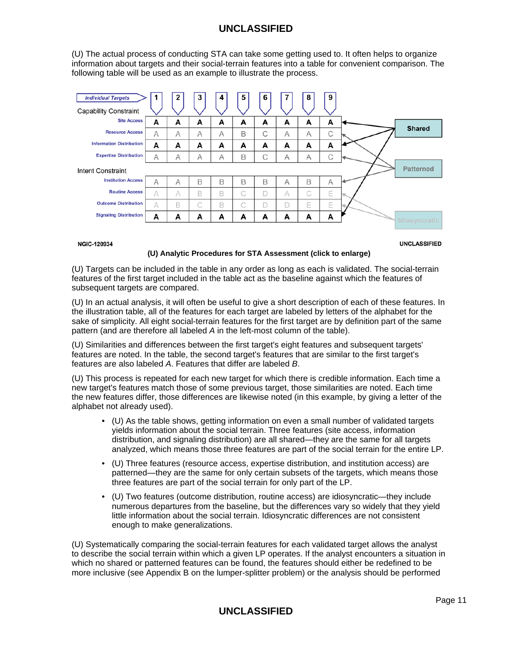(U) The actual process of conducting STA can take some getting used to. It often helps to organize information about targets and their social-terrain features into a table for convenient comparison. The following table will be used as an example to illustrate the process.

| <b>Individual Targets</b>       | 1 | 2 | 3 | 4 | 5 | 6 |   | 8 | 9 |                  |
|---------------------------------|---|---|---|---|---|---|---|---|---|------------------|
| <b>Capability Constraint</b>    |   |   |   |   |   |   |   |   |   |                  |
| <b>Site Access</b>              | A | A | A | А | A | A | A | A | А |                  |
| <b>Resource Access</b>          | A | А | А | А | B | C | Α | А | С | <b>Shared</b>    |
| <b>Information Distribution</b> | A | А | A | A | A | A | A | A | A |                  |
| <b>Expertise Distribution</b>   | A | А | A | А | B | C | А | Α | С |                  |
| Intent Constraint               |   |   |   |   |   |   |   |   |   | <b>Patterned</b> |
| <b>Institution Access</b>       | A | Α | B | B | B | B | A | B | A |                  |
| <b>Routine Access</b>           | A | Α | B | B | C | D | A | C | Е |                  |
| <b>Outcome Distribution</b>     | A | B | C | B | C | D |   | Ε | Е |                  |
| <b>Signaling Distribution</b>   | А | A | A | A | A | A | A | A | А | Idiosyncratic    |
|                                 |   |   |   |   |   |   |   |   |   |                  |

**NGIC-120934** 

**UNCLASSIFIED** 

#### **(U) Analytic Procedures for STA Assessment (click to enlarge)**

(U) Targets can be included in the table in any order as long as each is validated. The social-terrain features of the first target included in the table act as the baseline against which the features of subsequent targets are compared.

(U) In an actual analysis, it will often be useful to give a short description of each of these features. In the illustration table, all of the features for each target are labeled by letters of the alphabet for the sake of simplicity. All eight social-terrain features for the first target are by definition part of the same pattern (and are therefore all labeled A in the left-most column of the table).

(U) Similarities and differences between the first target's eight features and subsequent targets' features are noted. In the table, the second target's features that are similar to the first target's features are also labeled A. Features that differ are labeled B.

(U) This process is repeated for each new target for which there is credible information. Each time a new target's features match those of some previous target, those similarities are noted. Each time the new features differ, those differences are likewise noted (in this example, by giving a letter of the alphabet not already used).

- (U) As the table shows, getting information on even a small number of validated targets yields information about the social terrain. Three features (site access, information distribution, and signaling distribution) are all shared—they are the same for all targets analyzed, which means those three features are part of the social terrain for the entire LP.
- (U) Three features (resource access, expertise distribution, and institution access) are patterned—they are the same for only certain subsets of the targets, which means those three features are part of the social terrain for only part of the LP.
- (U) Two features (outcome distribution, routine access) are idiosyncratic—they include numerous departures from the baseline, but the differences vary so widely that they yield little information about the social terrain. Idiosyncratic differences are not consistent enough to make generalizations.

(U) Systematically comparing the social-terrain features for each validated target allows the analyst to describe the social terrain within which a given LP operates. If the analyst encounters a situation in which no shared or patterned features can be found, the features should either be redefined to be more inclusive (see Appendix B on the lumper-splitter problem) or the analysis should be performed

# **UNCLASSIFIED**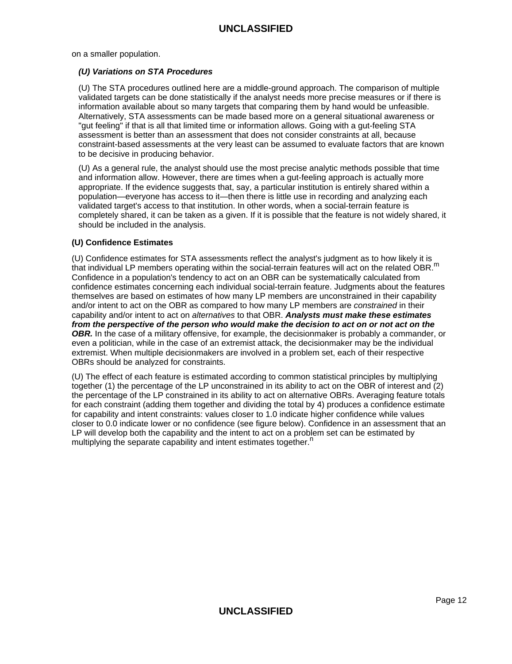on a smaller population.

#### **(U) Variations on STA Procedures**

(U) The STA procedures outlined here are a middle-ground approach. The comparison of multiple validated targets can be done statistically if the analyst needs more precise measures or if there is information available about so many targets that comparing them by hand would be unfeasible. Alternatively, STA assessments can be made based more on a general situational awareness or "gut feeling" if that is all that limited time or information allows. Going with a gut-feeling STA assessment is better than an assessment that does not consider constraints at all, because constraint-based assessments at the very least can be assumed to evaluate factors that are known to be decisive in producing behavior.

(U) As a general rule, the analyst should use the most precise analytic methods possible that time and information allow. However, there are times when a gut-feeling approach is actually more appropriate. If the evidence suggests that, say, a particular institution is entirely shared within a population—everyone has access to it—then there is little use in recording and analyzing each validated target's access to that institution. In other words, when a social-terrain feature is completely shared, it can be taken as a given. If it is possible that the feature is not widely shared, it should be included in the analysis.

## **(U) Confidence Estimates**

(U) Confidence estimates for STA assessments reflect the analyst's judgment as to how likely it is that individual LP members operating within the social-terrain features will act on the related OBR.<sup>m</sup> Confidence in a population's tendency to act on an OBR can be systematically calculated from confidence estimates concerning each individual social-terrain feature. Judgments about the features themselves are based on estimates of how many LP members are unconstrained in their capability and/or intent to act on the OBR as compared to how many LP members are constrained in their capability and/or intent to act on alternatives to that OBR. **Analysts must make these estimates from the perspective of the person who would make the decision to act on or not act on the OBR.** In the case of a military offensive, for example, the decisionmaker is probably a commander, or even a politician, while in the case of an extremist attack, the decisionmaker may be the individual extremist. When multiple decisionmakers are involved in a problem set, each of their respective OBRs should be analyzed for constraints.

(U) The effect of each feature is estimated according to common statistical principles by multiplying together (1) the percentage of the LP unconstrained in its ability to act on the OBR of interest and (2) the percentage of the LP constrained in its ability to act on alternative OBRs. Averaging feature totals for each constraint (adding them together and dividing the total by 4) produces a confidence estimate for capability and intent constraints: values closer to 1.0 indicate higher confidence while values closer to 0.0 indicate lower or no confidence (see figure below). Confidence in an assessment that an LP will develop both the capability and the intent to act on a problem set can be estimated by multiplying the separate capability and intent estimates together.<sup>n</sup>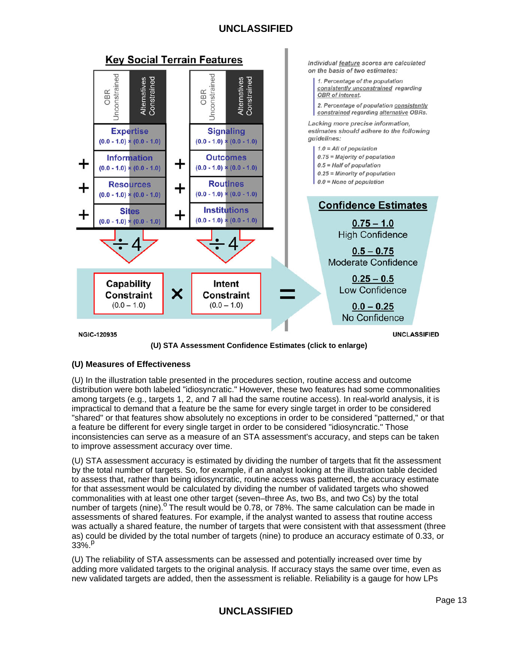![](_page_12_Figure_1.jpeg)

**(U) STA Assessment Confidence Estimates (click to enlarge)**

## **(U) Measures of Effectiveness**

(U) In the illustration table presented in the procedures section, routine access and outcome distribution were both labeled "idiosyncratic." However, these two features had some commonalities among targets (e.g., targets 1, 2, and 7 all had the same routine access). In real-world analysis, it is impractical to demand that a feature be the same for every single target in order to be considered "shared" or that features show absolutely no exceptions in order to be considered "patterned," or that a feature be different for every single target in order to be considered "idiosyncratic." Those inconsistencies can serve as a measure of an STA assessment's accuracy, and steps can be taken to improve assessment accuracy over time.

(U) STA assessment accuracy is estimated by dividing the number of targets that fit the assessment by the total number of targets. So, for example, if an analyst looking at the illustration table decided to assess that, rather than being idiosyncratic, routine access was patterned, the accuracy estimate for that assessment would be calculated by dividing the number of validated targets who showed commonalities with at least one other target (seven–three As, two Bs, and two Cs) by the total number of targets (nine).<sup>o</sup> The result would be 0.78, or 78%. The same calculation can be made in assessments of shared features. For example, if the analyst wanted to assess that routine access was actually a shared feature, the number of targets that were consistent with that assessment (three as) could be divided by the total number of targets (nine) to produce an accuracy estimate of 0.33, or  $33\%$ <sup>p</sup>

(U) The reliability of STA assessments can be assessed and potentially increased over time by adding more validated targets to the original analysis. If accuracy stays the same over time, even as new validated targets are added, then the assessment is reliable. Reliability is a gauge for how LPs

# **UNCLASSIFIED**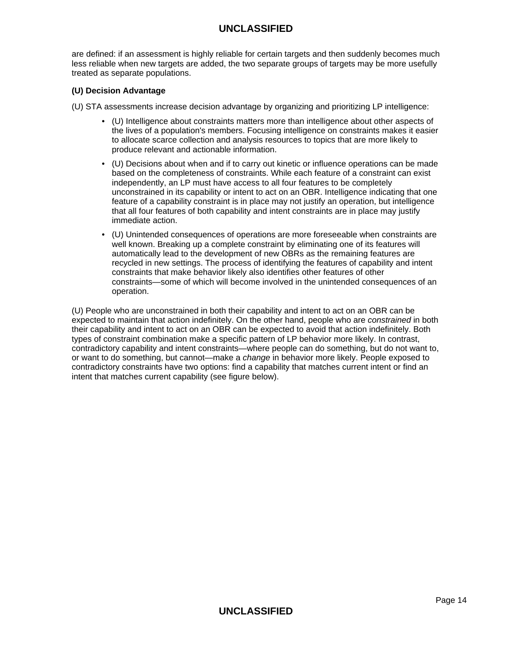are defined: if an assessment is highly reliable for certain targets and then suddenly becomes much less reliable when new targets are added, the two separate groups of targets may be more usefully treated as separate populations.

## **(U) Decision Advantage**

- (U) STA assessments increase decision advantage by organizing and prioritizing LP intelligence:
	- (U) Intelligence about constraints matters more than intelligence about other aspects of the lives of a population's members. Focusing intelligence on constraints makes it easier to allocate scarce collection and analysis resources to topics that are more likely to produce relevant and actionable information.
	- (U) Decisions about when and if to carry out kinetic or influence operations can be made based on the completeness of constraints. While each feature of a constraint can exist independently, an LP must have access to all four features to be completely unconstrained in its capability or intent to act on an OBR. Intelligence indicating that one feature of a capability constraint is in place may not justify an operation, but intelligence that all four features of both capability and intent constraints are in place may justify immediate action.
	- (U) Unintended consequences of operations are more foreseeable when constraints are well known. Breaking up a complete constraint by eliminating one of its features will automatically lead to the development of new OBRs as the remaining features are recycled in new settings. The process of identifying the features of capability and intent constraints that make behavior likely also identifies other features of other constraints—some of which will become involved in the unintended consequences of an operation.

(U) People who are unconstrained in both their capability and intent to act on an OBR can be expected to maintain that action indefinitely. On the other hand, people who are constrained in both their capability and intent to act on an OBR can be expected to avoid that action indefinitely. Both types of constraint combination make a specific pattern of LP behavior more likely. In contrast, contradictory capability and intent constraints—where people can do something, but do not want to, or want to do something, but cannot—make a change in behavior more likely. People exposed to contradictory constraints have two options: find a capability that matches current intent or find an intent that matches current capability (see figure below).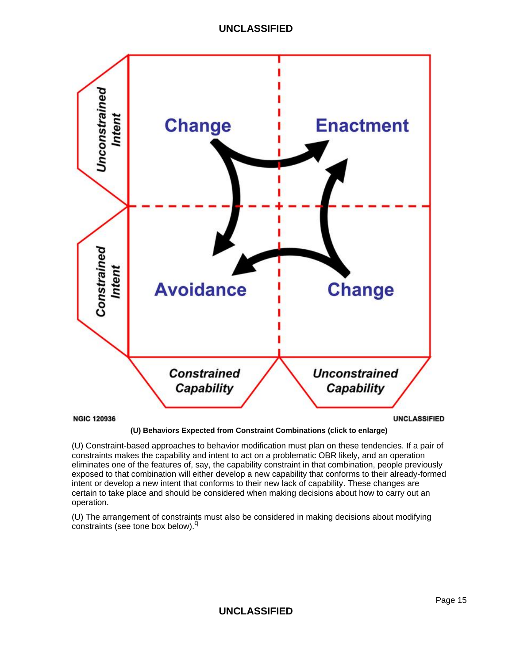![](_page_14_Figure_1.jpeg)

**(U) Behaviors Expected from Constraint Combinations (click to enlarge)**

(U) Constraint-based approaches to behavior modification must plan on these tendencies. If a pair of constraints makes the capability and intent to act on a problematic OBR likely, and an operation eliminates one of the features of, say, the capability constraint in that combination, people previously exposed to that combination will either develop a new capability that conforms to their already-formed intent or develop a new intent that conforms to their new lack of capability. These changes are certain to take place and should be considered when making decisions about how to carry out an operation.

(U) The arrangement of constraints must also be considered in making decisions about modifying constraints (see tone box below).<sup>q</sup>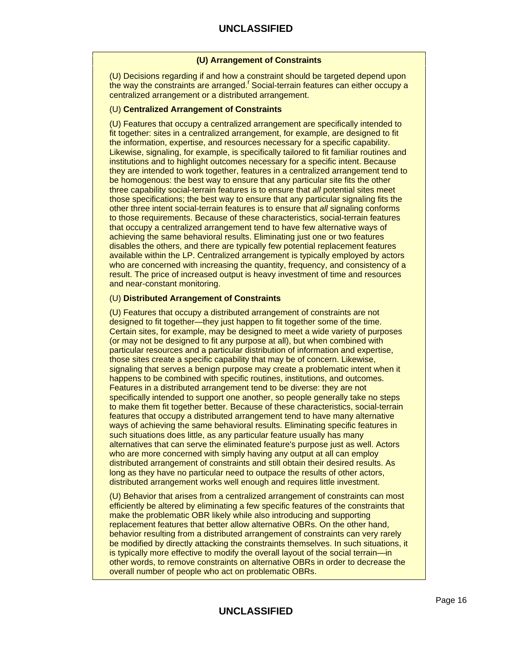## **(U) Arrangement of Constraints**

(U) Decisions regarding if and how a constraint should be targeted depend upon the way the constraints are arranged.<sup>r</sup> Social-terrain features can either occupy a centralized arrangement or a distributed arrangement.

## (U) **Centralized Arrangement of Constraints**

(U) Features that occupy a centralized arrangement are specifically intended to fit together: sites in a centralized arrangement, for example, are designed to fit the information, expertise, and resources necessary for a specific capability. Likewise, signaling, for example, is specifically tailored to fit familiar routines and institutions and to highlight outcomes necessary for a specific intent. Because they are intended to work together, features in a centralized arrangement tend to be homogenous: the best way to ensure that any particular site fits the other three capability social-terrain features is to ensure that all potential sites meet those specifications; the best way to ensure that any particular signaling fits the other three intent social-terrain features is to ensure that all signaling conforms to those requirements. Because of these characteristics, social-terrain features that occupy a centralized arrangement tend to have few alternative ways of achieving the same behavioral results. Eliminating just one or two features disables the others, and there are typically few potential replacement features available within the LP. Centralized arrangement is typically employed by actors who are concerned with increasing the quantity, frequency, and consistency of a result. The price of increased output is heavy investment of time and resources and near-constant monitoring.

#### (U) **Distributed Arrangement of Constraints**

(U) Features that occupy a distributed arrangement of constraints are not designed to fit together—they just happen to fit together some of the time. Certain sites, for example, may be designed to meet a wide variety of purposes (or may not be designed to fit any purpose at all), but when combined with particular resources and a particular distribution of information and expertise, those sites create a specific capability that may be of concern. Likewise, signaling that serves a benign purpose may create a problematic intent when it happens to be combined with specific routines, institutions, and outcomes. Features in a distributed arrangement tend to be diverse: they are not specifically intended to support one another, so people generally take no steps to make them fit together better. Because of these characteristics, social-terrain features that occupy a distributed arrangement tend to have many alternative ways of achieving the same behavioral results. Eliminating specific features in such situations does little, as any particular feature usually has many alternatives that can serve the eliminated feature's purpose just as well. Actors who are more concerned with simply having any output at all can employ distributed arrangement of constraints and still obtain their desired results. As long as they have no particular need to outpace the results of other actors, distributed arrangement works well enough and requires little investment.

(U) Behavior that arises from a centralized arrangement of constraints can most efficiently be altered by eliminating a few specific features of the constraints that make the problematic OBR likely while also introducing and supporting replacement features that better allow alternative OBRs. On the other hand, behavior resulting from a distributed arrangement of constraints can very rarely be modified by directly attacking the constraints themselves. In such situations, it is typically more effective to modify the overall layout of the social terrain—in other words, to remove constraints on alternative OBRs in order to decrease the overall number of people who act on problematic OBRs.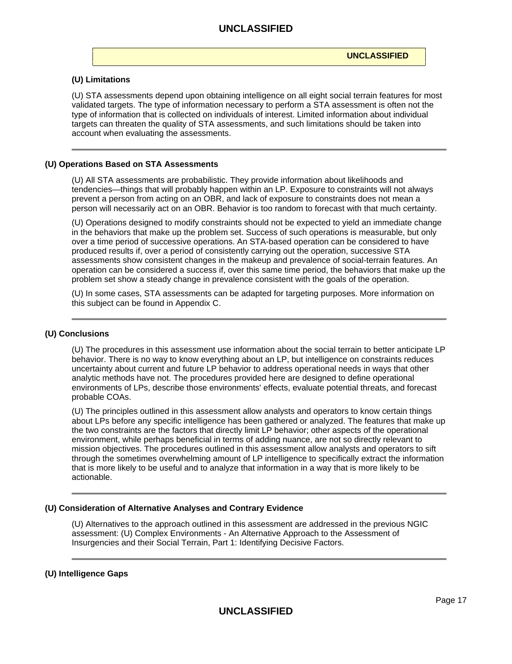#### **(U) Limitations**

(U) STA assessments depend upon obtaining intelligence on all eight social terrain features for most validated targets. The type of information necessary to perform a STA assessment is often not the type of information that is collected on individuals of interest. Limited information about individual targets can threaten the quality of STA assessments, and such limitations should be taken into account when evaluating the assessments.

#### **(U) Operations Based on STA Assessments**

(U) All STA assessments are probabilistic. They provide information about likelihoods and tendencies—things that will probably happen within an LP. Exposure to constraints will not always prevent a person from acting on an OBR, and lack of exposure to constraints does not mean a person will necessarily act on an OBR. Behavior is too random to forecast with that much certainty.

(U) Operations designed to modify constraints should not be expected to yield an immediate change in the behaviors that make up the problem set. Success of such operations is measurable, but only over a time period of successive operations. An STA-based operation can be considered to have produced results if, over a period of consistently carrying out the operation, successive STA assessments show consistent changes in the makeup and prevalence of social-terrain features. An operation can be considered a success if, over this same time period, the behaviors that make up the problem set show a steady change in prevalence consistent with the goals of the operation.

(U) In some cases, STA assessments can be adapted for targeting purposes. More information on this subject can be found in Appendix C.

#### **(U) Conclusions**

(U) The procedures in this assessment use information about the social terrain to better anticipate LP behavior. There is no way to know everything about an LP, but intelligence on constraints reduces uncertainty about current and future LP behavior to address operational needs in ways that other analytic methods have not. The procedures provided here are designed to define operational environments of LPs, describe those environments' effects, evaluate potential threats, and forecast probable COAs.

(U) The principles outlined in this assessment allow analysts and operators to know certain things about LPs before any specific intelligence has been gathered or analyzed. The features that make up the two constraints are the factors that directly limit LP behavior; other aspects of the operational environment, while perhaps beneficial in terms of adding nuance, are not so directly relevant to mission objectives. The procedures outlined in this assessment allow analysts and operators to sift through the sometimes overwhelming amount of LP intelligence to specifically extract the information that is more likely to be useful and to analyze that information in a way that is more likely to be actionable.

#### **(U) Consideration of Alternative Analyses and Contrary Evidence**

(U) Alternatives to the approach outlined in this assessment are addressed in the previous NGIC assessment: (U) Complex Environments - An Alternative Approach to the Assessment of Insurgencies and their Social Terrain, Part 1: Identifying Decisive Factors.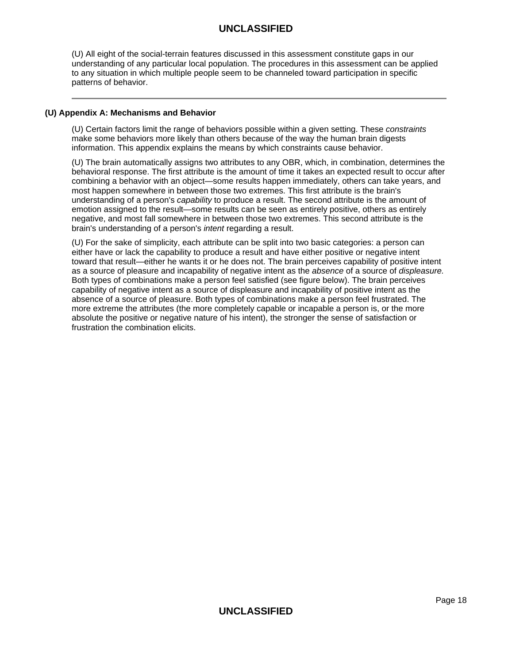(U) All eight of the social-terrain features discussed in this assessment constitute gaps in our understanding of any particular local population. The procedures in this assessment can be applied to any situation in which multiple people seem to be channeled toward participation in specific patterns of behavior.

### **(U) Appendix A: Mechanisms and Behavior**

(U) Certain factors limit the range of behaviors possible within a given setting. These constraints make some behaviors more likely than others because of the way the human brain digests information. This appendix explains the means by which constraints cause behavior.

(U) The brain automatically assigns two attributes to any OBR, which, in combination, determines the behavioral response. The first attribute is the amount of time it takes an expected result to occur after combining a behavior with an object—some results happen immediately, others can take years, and most happen somewhere in between those two extremes. This first attribute is the brain's understanding of a person's capability to produce a result. The second attribute is the amount of emotion assigned to the result—some results can be seen as entirely positive, others as entirely negative, and most fall somewhere in between those two extremes. This second attribute is the brain's understanding of a person's *intent* regarding a result.

(U) For the sake of simplicity, each attribute can be split into two basic categories: a person can either have or lack the capability to produce a result and have either positive or negative intent toward that result—either he wants it or he does not. The brain perceives capability of positive intent as a source of pleasure and incapability of negative intent as the absence of a source of displeasure. Both types of combinations make a person feel satisfied (see figure below). The brain perceives capability of negative intent as a source of displeasure and incapability of positive intent as the absence of a source of pleasure. Both types of combinations make a person feel frustrated. The more extreme the attributes (the more completely capable or incapable a person is, or the more absolute the positive or negative nature of his intent), the stronger the sense of satisfaction or frustration the combination elicits.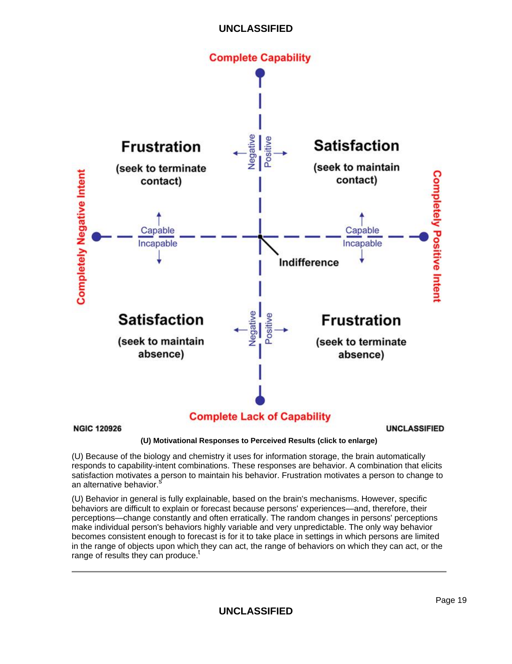![](_page_18_Figure_0.jpeg)

# **Complete Lack of Capability**

**NGIC 120926** 

**UNCLASSIFIED** 

**(U) Motivational Responses to Perceived Results (click to enlarge)**

(U) Because of the biology and chemistry it uses for information storage, the brain automatically responds to capability-intent combinations. These responses are behavior. A combination that elicits satisfaction motivates a person to maintain his behavior. Frustration motivates a person to change to an alternative behavior.

(U) Behavior in general is fully explainable, based on the brain's mechanisms. However, specific behaviors are difficult to explain or forecast because persons' experiences—and, therefore, their perceptions—change constantly and often erratically. The random changes in persons' perceptions make individual person's behaviors highly variable and very unpredictable. The only way behavior becomes consistent enough to forecast is for it to take place in settings in which persons are limited in the range of objects upon which they can act, the range of behaviors on which they can act, or the range of results they can produce.<sup>1</sup>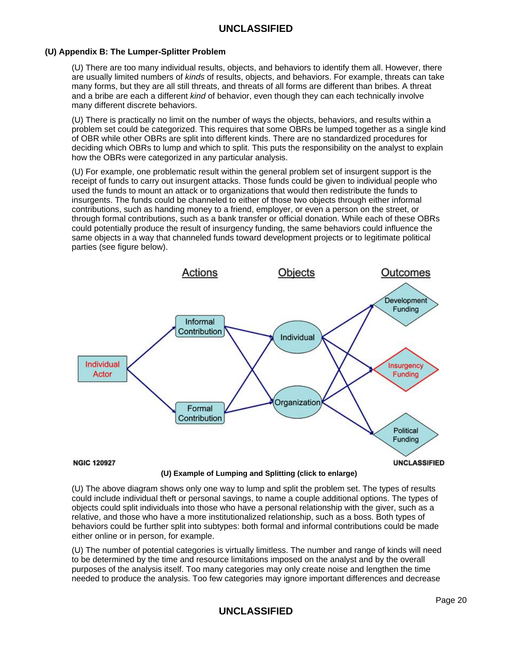## **(U) Appendix B: The Lumper-Splitter Problem**

(U) There are too many individual results, objects, and behaviors to identify them all. However, there are usually limited numbers of kinds of results, objects, and behaviors. For example, threats can take many forms, but they are all still threats, and threats of all forms are different than bribes. A threat and a bribe are each a different kind of behavior, even though they can each technically involve many different discrete behaviors.

(U) There is practically no limit on the number of ways the objects, behaviors, and results within a problem set could be categorized. This requires that some OBRs be lumped together as a single kind of OBR while other OBRs are split into different kinds. There are no standardized procedures for deciding which OBRs to lump and which to split. This puts the responsibility on the analyst to explain how the OBRs were categorized in any particular analysis.

(U) For example, one problematic result within the general problem set of insurgent support is the receipt of funds to carry out insurgent attacks. Those funds could be given to individual people who used the funds to mount an attack or to organizations that would then redistribute the funds to insurgents. The funds could be channeled to either of those two objects through either informal contributions, such as handing money to a friend, employer, or even a person on the street, or through formal contributions, such as a bank transfer or official donation. While each of these OBRs could potentially produce the result of insurgency funding, the same behaviors could influence the same objects in a way that channeled funds toward development projects or to legitimate political parties (see figure below).

![](_page_19_Figure_5.jpeg)

**(U) Example of Lumping and Splitting (click to enlarge)**

(U) The above diagram shows only one way to lump and split the problem set. The types of results could include individual theft or personal savings, to name a couple additional options. The types of objects could split individuals into those who have a personal relationship with the giver, such as a relative, and those who have a more institutionalized relationship, such as a boss. Both types of behaviors could be further split into subtypes: both formal and informal contributions could be made either online or in person, for example.

(U) The number of potential categories is virtually limitless. The number and range of kinds will need to be determined by the time and resource limitations imposed on the analyst and by the overall purposes of the analysis itself. Too many categories may only create noise and lengthen the time needed to produce the analysis. Too few categories may ignore important differences and decrease

# **UNCLASSIFIED**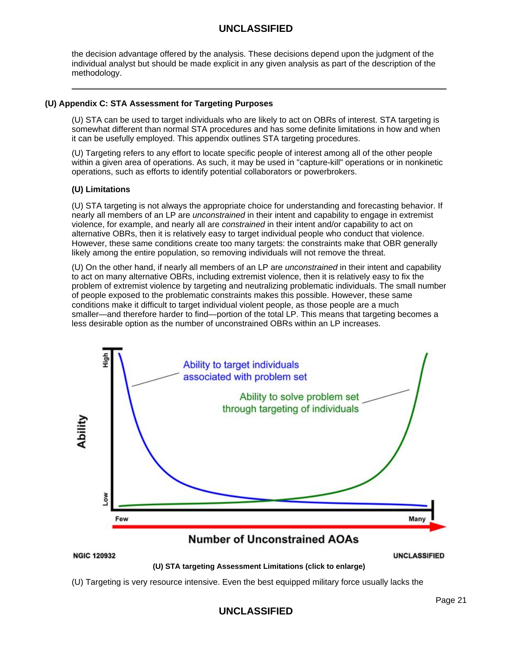the decision advantage offered by the analysis. These decisions depend upon the judgment of the individual analyst but should be made explicit in any given analysis as part of the description of the methodology.

### **(U) Appendix C: STA Assessment for Targeting Purposes**

(U) STA can be used to target individuals who are likely to act on OBRs of interest. STA targeting is somewhat different than normal STA procedures and has some definite limitations in how and when it can be usefully employed. This appendix outlines STA targeting procedures.

(U) Targeting refers to any effort to locate specific people of interest among all of the other people within a given area of operations. As such, it may be used in "capture-kill" operations or in nonkinetic operations, such as efforts to identify potential collaborators or powerbrokers.

## **(U) Limitations**

(U) STA targeting is not always the appropriate choice for understanding and forecasting behavior. If nearly all members of an LP are *unconstrained* in their intent and capability to engage in extremist violence, for example, and nearly all are constrained in their intent and/or capability to act on alternative OBRs, then it is relatively easy to target individual people who conduct that violence. However, these same conditions create too many targets: the constraints make that OBR generally likely among the entire population, so removing individuals will not remove the threat.

(U) On the other hand, if nearly all members of an LP are unconstrained in their intent and capability to act on many alternative OBRs, including extremist violence, then it is relatively easy to fix the problem of extremist violence by targeting and neutralizing problematic individuals. The small number of people exposed to the problematic constraints makes this possible. However, these same conditions make it difficult to target individual violent people, as those people are a much smaller—and therefore harder to find—portion of the total LP. This means that targeting becomes a less desirable option as the number of unconstrained OBRs within an LP increases.

![](_page_20_Figure_8.jpeg)

**(U) STA targeting Assessment Limitations (click to enlarge)**

(U) Targeting is very resource intensive. Even the best equipped military force usually lacks the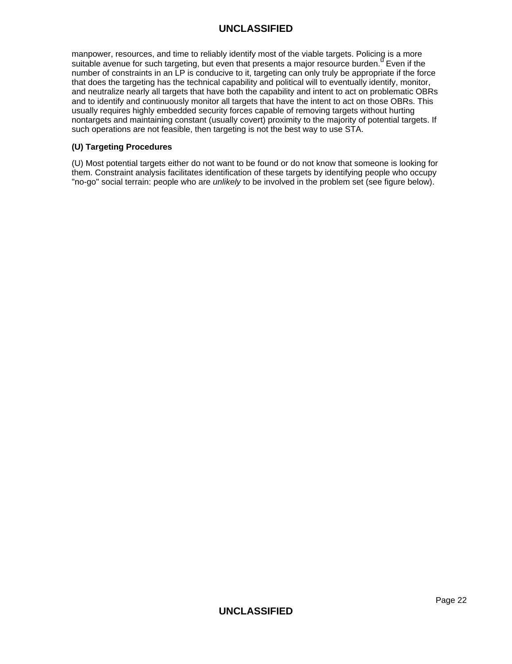manpower, resources, and time to reliably identify most of the viable targets. Policing is a more suitable avenue for such targeting, but even that presents a major resource burden.<sup>u</sup> Even if the number of constraints in an LP is conducive to it, targeting can only truly be appropriate if the force that does the targeting has the technical capability and political will to eventually identify, monitor, and neutralize nearly all targets that have both the capability and intent to act on problematic OBRs and to identify and continuously monitor all targets that have the intent to act on those OBRs. This usually requires highly embedded security forces capable of removing targets without hurting nontargets and maintaining constant (usually covert) proximity to the majority of potential targets. If such operations are not feasible, then targeting is not the best way to use STA.

### **(U) Targeting Procedures**

(U) Most potential targets either do not want to be found or do not know that someone is looking for them. Constraint analysis facilitates identification of these targets by identifying people who occupy "no-go" social terrain: people who are unlikely to be involved in the problem set (see figure below).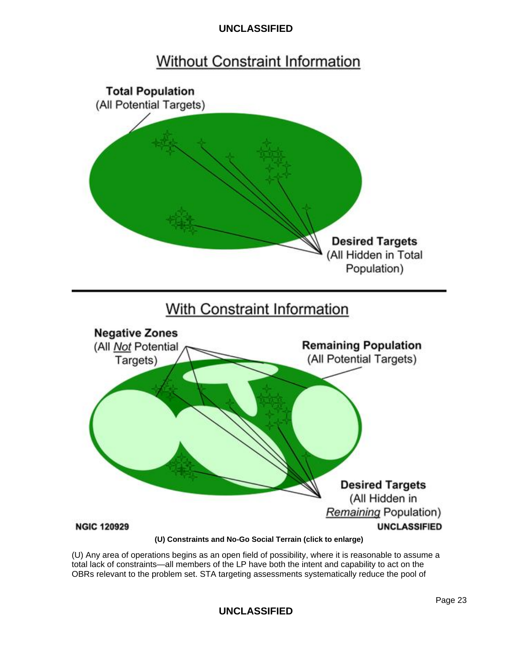# **Without Constraint Information**

![](_page_22_Figure_2.jpeg)

(U) Any area of operations begins as an open field of possibility, where it is reasonable to assume a total lack of constraints—all members of the LP have both the intent and capability to act on the OBRs relevant to the problem set. STA targeting assessments systematically reduce the pool of

**UNCLASSIFIED**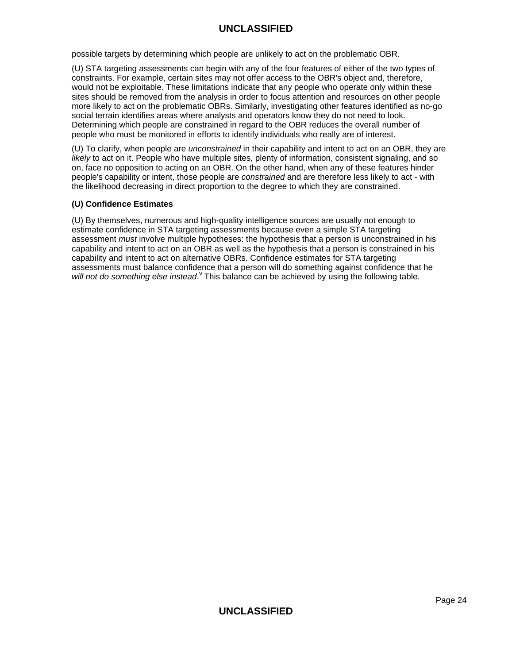possible targets by determining which people are unlikely to act on the problematic OBR.

(U) STA targeting assessments can begin with any of the four features of either of the two types of constraints. For example, certain sites may not offer access to the OBR's object and, therefore, would not be exploitable. These limitations indicate that any people who operate only within these sites should be removed from the analysis in order to focus attention and resources on other people more likely to act on the problematic OBRs. Similarly, investigating other features identified as no-go social terrain identifies areas where analysts and operators know they do not need to look. Determining which people are constrained in regard to the OBR reduces the overall number of people who must be monitored in efforts to identify individuals who really are of interest.

(U) To clarify, when people are unconstrained in their capability and intent to act on an OBR, they are likely to act on it. People who have multiple sites, plenty of information, consistent signaling, and so on, face no opposition to acting on an OBR. On the other hand, when any of these features hinder people's capability or intent, those people are constrained and are therefore less likely to act - with the likelihood decreasing in direct proportion to the degree to which they are constrained.

## **(U) Confidence Estimates**

(U) By themselves, numerous and high-quality intelligence sources are usually not enough to estimate confidence in STA targeting assessments because even a simple STA targeting assessment *must* involve multiple hypotheses: the hypothesis that a person is unconstrained in his capability and intent to act on an OBR as well as the hypothesis that a person is constrained in his capability and intent to act on alternative OBRs. Confidence estimates for STA targeting assessments must balance confidence that a person will do something against confidence that he will not do something else instead. <sup>V</sup> This balance can be achieved by using the following table.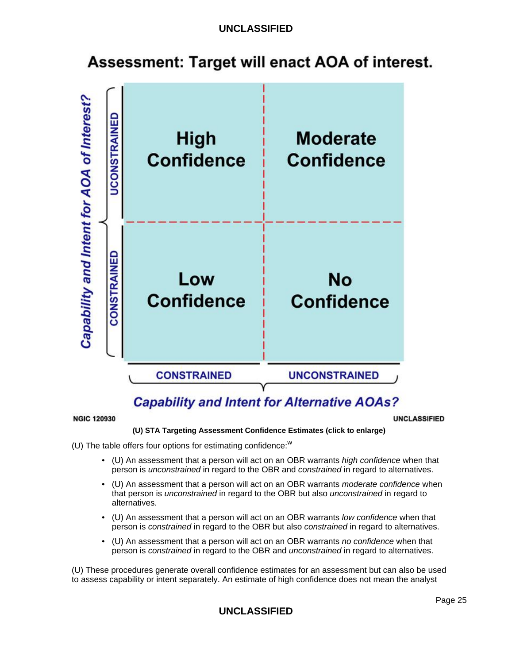# Assessment: Target will enact AOA of interest.

![](_page_24_Figure_2.jpeg)

# **Capability and Intent for Alternative AOAs?**

#### **NGIC 120930**

#### **UNCLASSIFIED**

#### **(U) STA Targeting Assessment Confidence Estimates (click to enlarge)**

(U) The table offers four options for estimating confidence: $W$ 

- (U) An assessment that a person will act on an OBR warrants high confidence when that person is unconstrained in regard to the OBR and constrained in regard to alternatives.
- (U) An assessment that a person will act on an OBR warrants moderate confidence when that person is unconstrained in regard to the OBR but also unconstrained in regard to alternatives.
- (U) An assessment that a person will act on an OBR warrants low confidence when that person is constrained in regard to the OBR but also constrained in regard to alternatives.
- (U) An assessment that a person will act on an OBR warrants no confidence when that person is constrained in regard to the OBR and *unconstrained* in regard to alternatives.

(U) These procedures generate overall confidence estimates for an assessment but can also be used to assess capability or intent separately. An estimate of high confidence does not mean the analyst

# **UNCLASSIFIED**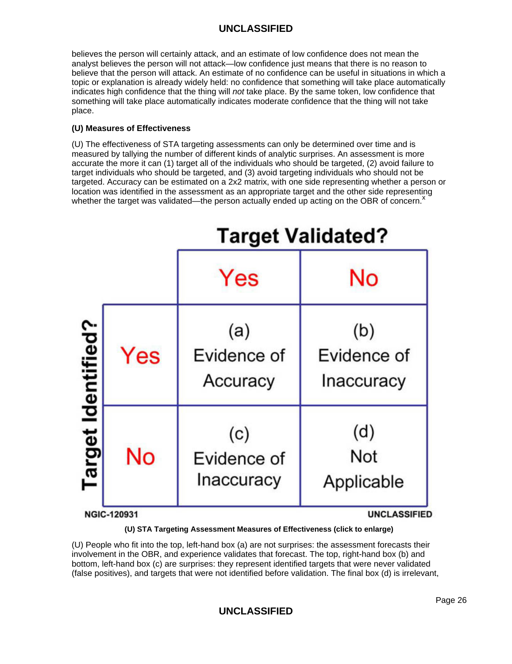believes the person will certainly attack, and an estimate of low confidence does not mean the analyst believes the person will not attack—low confidence just means that there is no reason to believe that the person will attack. An estimate of no confidence can be useful in situations in which a topic or explanation is already widely held: no confidence that something will take place automatically indicates high confidence that the thing will not take place. By the same token, low confidence that something will take place automatically indicates moderate confidence that the thing will not take place.

## **(U) Measures of Effectiveness**

(U) The effectiveness of STA targeting assessments can only be determined over time and is measured by tallying the number of different kinds of analytic surprises. An assessment is more accurate the more it can (1) target all of the individuals who should be targeted, (2) avoid failure to target individuals who should be targeted, and (3) avoid targeting individuals who should not be targeted. Accuracy can be estimated on a 2x2 matrix, with one side representing whether a person or location was identified in the assessment as an appropriate target and the other side representing whether the target was validated—the person actually ended up acting on the OBR of concern.<sup> $x$ </sup>

![](_page_25_Figure_4.jpeg)

**(U) STA Targeting Assessment Measures of Effectiveness (click to enlarge)**

(U) People who fit into the top, left-hand box (a) are not surprises: the assessment forecasts their involvement in the OBR, and experience validates that forecast. The top, right-hand box (b) and bottom, left-hand box (c) are surprises: they represent identified targets that were never validated (false positives), and targets that were not identified before validation. The final box (d) is irrelevant,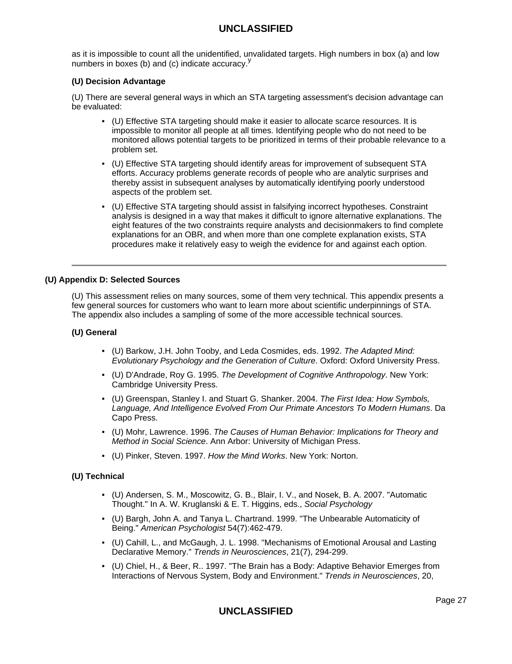as it is impossible to count all the unidentified, unvalidated targets. High numbers in box (a) and low numbers in boxes (b) and (c) indicate accuracy.  $y'$ 

## **(U) Decision Advantage**

(U) There are several general ways in which an STA targeting assessment's decision advantage can be evaluated:

- (U) Effective STA targeting should make it easier to allocate scarce resources. It is impossible to monitor all people at all times. Identifying people who do not need to be monitored allows potential targets to be prioritized in terms of their probable relevance to a problem set.
- (U) Effective STA targeting should identify areas for improvement of subsequent STA efforts. Accuracy problems generate records of people who are analytic surprises and thereby assist in subsequent analyses by automatically identifying poorly understood aspects of the problem set.
- (U) Effective STA targeting should assist in falsifying incorrect hypotheses. Constraint analysis is designed in a way that makes it difficult to ignore alternative explanations. The eight features of the two constraints require analysts and decisionmakers to find complete explanations for an OBR, and when more than one complete explanation exists, STA procedures make it relatively easy to weigh the evidence for and against each option.

#### **(U) Appendix D: Selected Sources**

(U) This assessment relies on many sources, some of them very technical. This appendix presents a few general sources for customers who want to learn more about scientific underpinnings of STA. The appendix also includes a sampling of some of the more accessible technical sources.

#### **(U) General**

- (U) Barkow, J.H. John Tooby, and Leda Cosmides, eds. 1992. The Adapted Mind: Evolutionary Psychology and the Generation of Culture. Oxford: Oxford University Press.
- (U) D'Andrade, Roy G. 1995. The Development of Cognitive Anthropology. New York: Cambridge University Press.
- (U) Greenspan, Stanley I. and Stuart G. Shanker. 2004. The First Idea: How Symbols, Language, And Intelligence Evolved From Our Primate Ancestors To Modern Humans. Da Capo Press.
- (U) Mohr, Lawrence. 1996. The Causes of Human Behavior: Implications for Theory and Method in Social Science. Ann Arbor: University of Michigan Press.
- (U) Pinker, Steven. 1997. How the Mind Works. New York: Norton.

## **(U) Technical**

- (U) Andersen, S. M., Moscowitz, G. B., Blair, I. V., and Nosek, B. A. 2007. "Automatic Thought." In A. W. Kruglanski & E. T. Higgins, eds., Social Psychology
- (U) Bargh, John A. and Tanya L. Chartrand. 1999. "The Unbearable Automaticity of Being." American Psychologist 54(7):462-479.
- (U) Cahill, L., and McGaugh, J. L. 1998. "Mechanisms of Emotional Arousal and Lasting Declarative Memory." Trends in Neurosciences, 21(7), 294-299.
- (U) Chiel, H., & Beer, R.. 1997. "The Brain has a Body: Adaptive Behavior Emerges from Interactions of Nervous System, Body and Environment." Trends in Neurosciences, 20,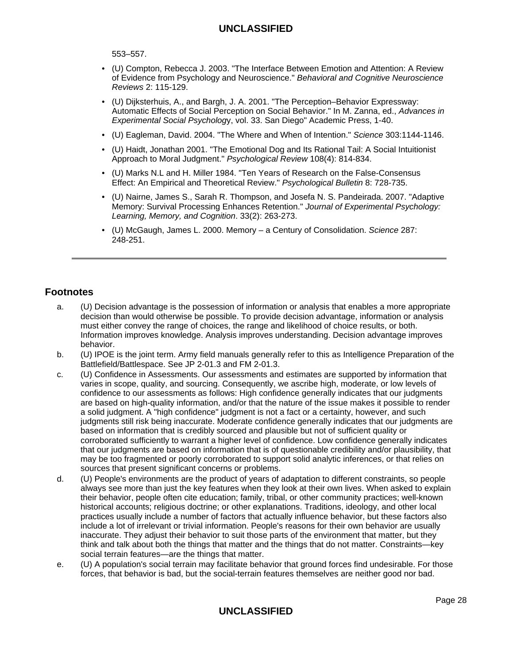553–557.

- (U) Compton, Rebecca J. 2003. "The Interface Between Emotion and Attention: A Review of Evidence from Psychology and Neuroscience." Behavioral and Cognitive Neuroscience Reviews 2: 115-129.
- (U) Dijksterhuis, A., and Bargh, J. A. 2001. "The Perception–Behavior Expressway: Automatic Effects of Social Perception on Social Behavior." In M. Zanna, ed., Advances in Experimental Social Psychology, vol. 33. San Diego" Academic Press, 1-40.
- (U) Eagleman, David. 2004. "The Where and When of Intention." Science 303:1144-1146.
- (U) Haidt, Jonathan 2001. "The Emotional Dog and Its Rational Tail: A Social Intuitionist Approach to Moral Judgment." Psychological Review 108(4): 814-834.
- (U) Marks N.L and H. Miller 1984. "Ten Years of Research on the False-Consensus Effect: An Empirical and Theoretical Review." Psychological Bulletin 8: 728-735.
- (U) Nairne, James S., Sarah R. Thompson, and Josefa N. S. Pandeirada. 2007. "Adaptive Memory: Survival Processing Enhances Retention." Journal of Experimental Psychology: Learning, Memory, and Cognition. 33(2): 263-273.
- (U) McGaugh, James L. 2000. Memory a Century of Consolidation. Science 287: 248-251.

# **Footnotes**

- a. (U) Decision advantage is the possession of information or analysis that enables a more appropriate decision than would otherwise be possible. To provide decision advantage, information or analysis must either convey the range of choices, the range and likelihood of choice results, or both. Information improves knowledge. Analysis improves understanding. Decision advantage improves behavior.
- b. (U) IPOE is the joint term. Army field manuals generally refer to this as Intelligence Preparation of the Battlefield/Battlespace. See JP 2-01.3 and FM 2-01.3.
- c. (U) Confidence in Assessments. Our assessments and estimates are supported by information that varies in scope, quality, and sourcing. Consequently, we ascribe high, moderate, or low levels of confidence to our assessments as follows: High confidence generally indicates that our judgments are based on high-quality information, and/or that the nature of the issue makes it possible to render a solid judgment. A "high confidence" judgment is not a fact or a certainty, however, and such judgments still risk being inaccurate. Moderate confidence generally indicates that our judgments are based on information that is credibly sourced and plausible but not of sufficient quality or corroborated sufficiently to warrant a higher level of confidence. Low confidence generally indicates that our judgments are based on information that is of questionable credibility and/or plausibility, that may be too fragmented or poorly corroborated to support solid analytic inferences, or that relies on sources that present significant concerns or problems.
- d. (U) People's environments are the product of years of adaptation to different constraints, so people always see more than just the key features when they look at their own lives. When asked to explain their behavior, people often cite education; family, tribal, or other community practices; well-known historical accounts; religious doctrine; or other explanations. Traditions, ideology, and other local practices usually include a number of factors that actually influence behavior, but these factors also include a lot of irrelevant or trivial information. People's reasons for their own behavior are usually inaccurate. They adjust their behavior to suit those parts of the environment that matter, but they think and talk about both the things that matter and the things that do not matter. Constraints—key social terrain features—are the things that matter.
- e. (U) A population's social terrain may facilitate behavior that ground forces find undesirable. For those forces, that behavior is bad, but the social-terrain features themselves are neither good nor bad.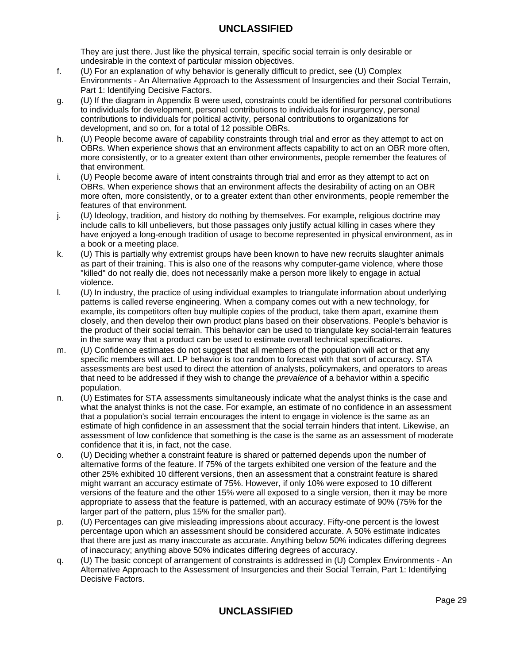They are just there. Just like the physical terrain, specific social terrain is only desirable or undesirable in the context of particular mission objectives.

- f. (U) For an explanation of why behavior is generally difficult to predict, see (U) Complex Environments - An Alternative Approach to the Assessment of Insurgencies and their Social Terrain. Part 1: Identifying Decisive Factors.
- g. (U) If the diagram in Appendix B were used, constraints could be identified for personal contributions to individuals for development, personal contributions to individuals for insurgency, personal contributions to individuals for political activity, personal contributions to organizations for development, and so on, for a total of 12 possible OBRs.
- h. (U) People become aware of capability constraints through trial and error as they attempt to act on OBRs. When experience shows that an environment affects capability to act on an OBR more often, more consistently, or to a greater extent than other environments, people remember the features of that environment.
- i. (U) People become aware of intent constraints through trial and error as they attempt to act on OBRs. When experience shows that an environment affects the desirability of acting on an OBR more often, more consistently, or to a greater extent than other environments, people remember the features of that environment.
- j. (U) Ideology, tradition, and history do nothing by themselves. For example, religious doctrine may include calls to kill unbelievers, but those passages only justify actual killing in cases where they have enjoyed a long-enough tradition of usage to become represented in physical environment, as in a book or a meeting place.
- k. (U) This is partially why extremist groups have been known to have new recruits slaughter animals as part of their training. This is also one of the reasons why computer-game violence, where those "killed" do not really die, does not necessarily make a person more likely to engage in actual violence.
- l. (U) In industry, the practice of using individual examples to triangulate information about underlying patterns is called reverse engineering. When a company comes out with a new technology, for example, its competitors often buy multiple copies of the product, take them apart, examine them closely, and then develop their own product plans based on their observations. People's behavior is the product of their social terrain. This behavior can be used to triangulate key social-terrain features in the same way that a product can be used to estimate overall technical specifications.
- m. (U) Confidence estimates do not suggest that all members of the population will act or that any specific members will act. LP behavior is too random to forecast with that sort of accuracy. STA assessments are best used to direct the attention of analysts, policymakers, and operators to areas that need to be addressed if they wish to change the *prevalence* of a behavior within a specific population.
- n. (U) Estimates for STA assessments simultaneously indicate what the analyst thinks is the case and what the analyst thinks is not the case. For example, an estimate of no confidence in an assessment that a population's social terrain encourages the intent to engage in violence is the same as an estimate of high confidence in an assessment that the social terrain hinders that intent. Likewise, an assessment of low confidence that something is the case is the same as an assessment of moderate confidence that it is, in fact, not the case.
- o. (U) Deciding whether a constraint feature is shared or patterned depends upon the number of alternative forms of the feature. If 75% of the targets exhibited one version of the feature and the other 25% exhibited 10 different versions, then an assessment that a constraint feature is shared might warrant an accuracy estimate of 75%. However, if only 10% were exposed to 10 different versions of the feature and the other 15% were all exposed to a single version, then it may be more appropriate to assess that the feature is patterned, with an accuracy estimate of 90% (75% for the larger part of the pattern, plus 15% for the smaller part).
- p. (U) Percentages can give misleading impressions about accuracy. Fifty-one percent is the lowest percentage upon which an assessment should be considered accurate. A 50% estimate indicates that there are just as many inaccurate as accurate. Anything below 50% indicates differing degrees of inaccuracy; anything above 50% indicates differing degrees of accuracy.
- q. (U) The basic concept of arrangement of constraints is addressed in (U) Complex Environments An Alternative Approach to the Assessment of Insurgencies and their Social Terrain, Part 1: Identifying Decisive Factors.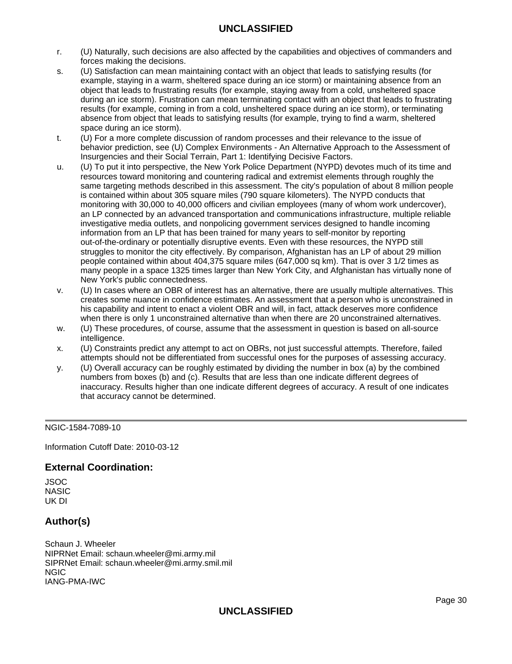- r. (U) Naturally, such decisions are also affected by the capabilities and objectives of commanders and forces making the decisions.
- s. (U) Satisfaction can mean maintaining contact with an object that leads to satisfying results (for example, staying in a warm, sheltered space during an ice storm) or maintaining absence from an object that leads to frustrating results (for example, staying away from a cold, unsheltered space during an ice storm). Frustration can mean terminating contact with an object that leads to frustrating results (for example, coming in from a cold, unsheltered space during an ice storm), or terminating absence from object that leads to satisfying results (for example, trying to find a warm, sheltered space during an ice storm).
- t. (U) For a more complete discussion of random processes and their relevance to the issue of behavior prediction, see (U) Complex Environments - An Alternative Approach to the Assessment of Insurgencies and their Social Terrain, Part 1: Identifying Decisive Factors.
- u. (U) To put it into perspective, the New York Police Department (NYPD) devotes much of its time and resources toward monitoring and countering radical and extremist elements through roughly the same targeting methods described in this assessment. The city's population of about 8 million people is contained within about 305 square miles (790 square kilometers). The NYPD conducts that monitoring with 30,000 to 40,000 officers and civilian employees (many of whom work undercover), an LP connected by an advanced transportation and communications infrastructure, multiple reliable investigative media outlets, and nonpolicing government services designed to handle incoming information from an LP that has been trained for many years to self-monitor by reporting out-of-the-ordinary or potentially disruptive events. Even with these resources, the NYPD still struggles to monitor the city effectively. By comparison, Afghanistan has an LP of about 29 million people contained within about 404,375 square miles (647,000 sq km). That is over 3 1/2 times as many people in a space 1325 times larger than New York City, and Afghanistan has virtually none of New York's public connectedness.
- v. (U) In cases where an OBR of interest has an alternative, there are usually multiple alternatives. This creates some nuance in confidence estimates. An assessment that a person who is unconstrained in his capability and intent to enact a violent OBR and will, in fact, attack deserves more confidence when there is only 1 unconstrained alternative than when there are 20 unconstrained alternatives.
- w. (U) These procedures, of course, assume that the assessment in question is based on all-source intelligence.
- x. (U) Constraints predict any attempt to act on OBRs, not just successful attempts. Therefore, failed attempts should not be differentiated from successful ones for the purposes of assessing accuracy.
- y. (U) Overall accuracy can be roughly estimated by dividing the number in box (a) by the combined numbers from boxes (b) and (c). Results that are less than one indicate different degrees of inaccuracy. Results higher than one indicate different degrees of accuracy. A result of one indicates that accuracy cannot be determined.

## NGIC-1584-7089-10

Information Cutoff Date: 2010-03-12

## **External Coordination:**

JSOC **NASIC** UK DI

## **Author(s)**

Schaun J. Wheeler NIPRNet Email: schaun.wheeler@mi.army.mil SIPRNet Email: schaun.wheeler@mi.army.smil.mil NGIC IANG-PMA-IWC